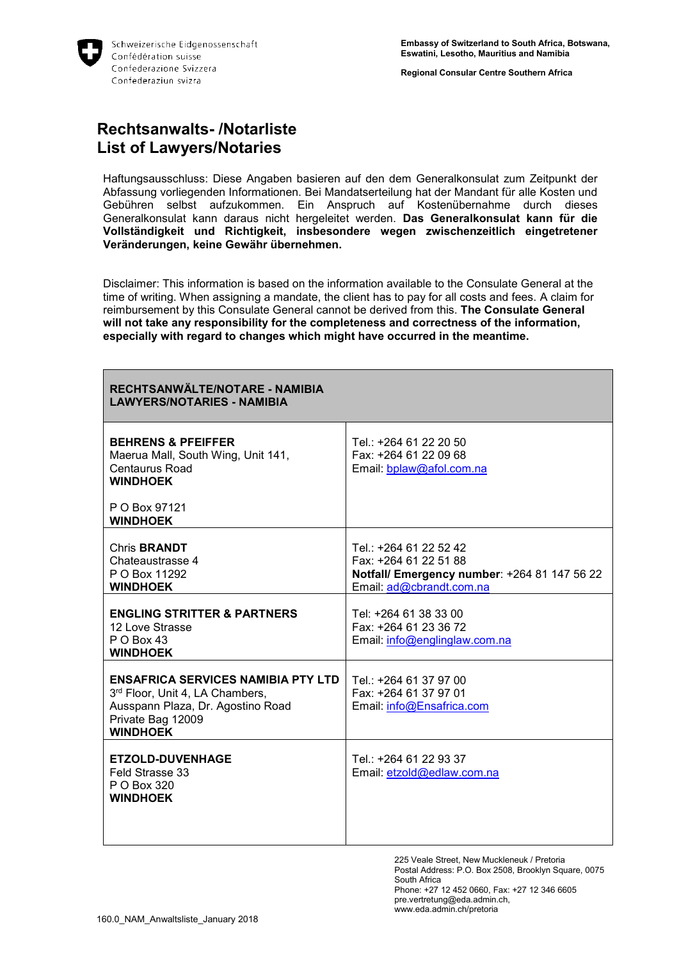

**Regional Consular Centre Southern Africa**

## **Rechtsanwalts- /Notarliste List of Lawyers/Notaries**

Haftungsausschluss: Diese Angaben basieren auf den dem Generalkonsulat zum Zeitpunkt der Abfassung vorliegenden Informationen. Bei Mandatserteilung hat der Mandant für alle Kosten und Gebühren selbst aufzukommen. Ein Anspruch auf Kostenübernahme durch dieses Generalkonsulat kann daraus nicht hergeleitet werden. **Das Generalkonsulat kann für die Vollständigkeit und Richtigkeit, insbesondere wegen zwischenzeitlich eingetretener Veränderungen, keine Gewähr übernehmen.**

Disclaimer: This information is based on the information available to the Consulate General at the time of writing. When assigning a mandate, the client has to pay for all costs and fees. A claim for reimbursement by this Consulate General cannot be derived from this. **The Consulate General will not take any responsibility for the completeness and correctness of the information, especially with regard to changes which might have occurred in the meantime.**

| RECHTSANWÄLTE/NOTARE - NAMIBIA<br><b>LAWYERS/NOTARIES - NAMIBIA</b>                                                                                       |                                                                                                                            |
|-----------------------------------------------------------------------------------------------------------------------------------------------------------|----------------------------------------------------------------------------------------------------------------------------|
| <b>BEHRENS &amp; PFEIFFER</b><br>Maerua Mall, South Wing, Unit 141,<br>Centaurus Road<br><b>WINDHOEK</b>                                                  | Tel.: +264 61 22 20 50<br>Fax: +264 61 22 09 68<br>Email: bplaw@afol.com.na                                                |
| P O Box 97121<br><b>WINDHOEK</b>                                                                                                                          |                                                                                                                            |
| Chris <b>BRANDT</b><br>Chateaustrasse 4<br>P O Box 11292<br><b>WINDHOEK</b>                                                                               | Tel: +264 61 22 52 42<br>Fax: +264 61 22 51 88<br>Notfall/ Emergency number: +264 81 147 56 22<br>Email: ad@cbrandt.com.na |
| <b>ENGLING STRITTER &amp; PARTNERS</b><br>12 Love Strasse<br>$P$ O Box 43<br><b>WINDHOEK</b>                                                              | Tel: +264 61 38 33 00<br>Fax: +264 61 23 36 72<br>Email: info@englinglaw.com.na                                            |
| <b>ENSAFRICA SERVICES NAMIBIA PTY LTD</b><br>3rd Floor, Unit 4, LA Chambers,<br>Ausspann Plaza, Dr. Agostino Road<br>Private Bag 12009<br><b>WINDHOEK</b> | Tel.: +264 61 37 97 00<br>Fax: +264 61 37 97 01<br>Email: info@Ensafrica.com                                               |
| <b>ETZOLD-DUVENHAGE</b><br>Feld Strasse 33<br>P O Box 320<br><b>WINDHOEK</b>                                                                              | Tel.: +264 61 22 93 37<br>Email: etzold@edlaw.com.na                                                                       |

225 Veale Street, New Muckleneuk / Pretoria Postal Address: P.O. Box 2508, Brooklyn Square, 0075 South Africa Phone: +27 12 452 0660, Fax: +27 12 346 6605 pre.vertretung@eda.admin.ch, www.eda.admin.ch/pretoria